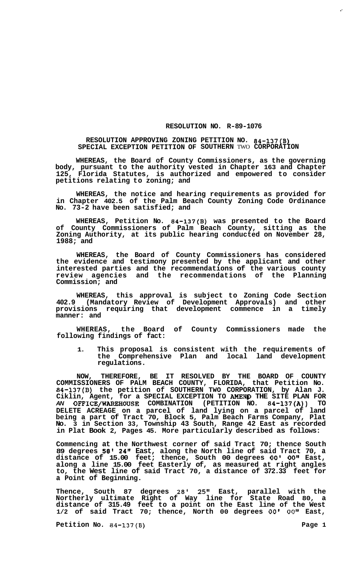## **RESOLUTION NO. R-89-1076**

## **RESOLUTION APPROVING ZONING PETITION NO. 84-137(B) SPECIAL EXCEPTION PETITION OF SOUTHERN** TWO **CORPORATION**

**WHEREAS, the Board of County Commissioners, as the governing body, pursuant to the authority vested in Chapter 163 and Chapter 125, Florida Statutes, is authorized and empowered to consider petitions relating to zoning; and** 

**WHEREAS, the notice and hearing requirements as provided for in Chapter 402.5 of the Palm Beach County Zoning Code Ordinance No. 73-2 have been satisfied; and** 

**WHEREAS, Petition No. 84-137(B) was presented to the Board of County Commissioners of Palm Beach County, sitting as the Zoning Authority, at its public hearing conducted on November 28, 1988; and** 

**WHEREAS, the Board of County Commissioners has considered the evidence and testimony presented by the applicant and other interested parties and the recommendations of the various county review agencies and the recommendations of the Planning Commission; and** 

**WHEREAS, this approval is subject to Zoning Code Section 402.9 (Mandatory Review of Development Approvals) and other provisions requiring that development commence in a timely manner: and** 

**WHEREAS, the Board of County Commissioners made the following findings of fact:** 

**1. This proposal is consistent with the requirements of the Comprehensive Plan and local land development regulations.** 

**NOW, THEREFORE, BE IT RESOLVED BY THE BOARD OF COUNTY COMMISSIONERS OF PALM BEACH COUNTY, FLORIDA, that Petition No. 84-137(B) the petition of SOUTHERN TWO CORPORATION, by Alan J. Ciklin, Agent, for a SPECIAL EXCEPTION TO AMENp THE SITE PLAN FOR**  *AN* **OFFICE/WAREHOUSE COMBINATION (PETITION NO. 84-137(A)) TO DELETE ACREAGE on a parcel of land lying on a parcel of land being a part of Tract 70, Block 5, Palm Beach Farms Company, Plat No. 3 in Section 33, Township 43 South, Range 42 East as recorded in Plat Book 2, Pages 45. More particularly described as follows:** 

**Commencing at the Northwest corner of said Tract 70; thence South 89 degrees** *58'* **2411 East, along the North line of said Tract 70, a distance of 15.00 feet; thence, South 00 degrees** *00' 0Ov1* **East, along a line 15.00 feet Easterly of, as measured at right angles to, the West line of said Tract 70, a distance of 372.33 feet for a Point of Beginning.** 

**Thence, South 87 degrees 28' 25" East, parallel with the Northerly ultimate Right of Way line for State Road 80, a distance of 315.49 feet to a point on the East line of the West 1/2 of said Tract 70; thence, North 00 degrees** *00' 00"* **East,** 

**Petition No.** 84-137(B) Page 1

,-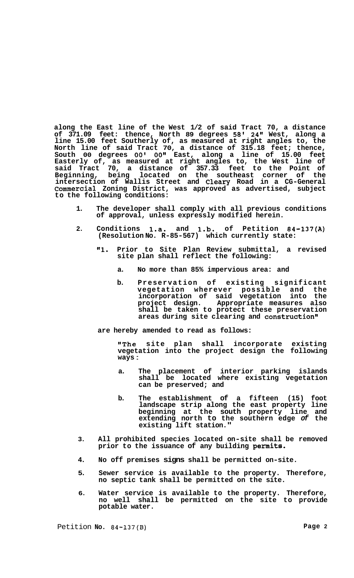**along the East line of the West 1/2 of said Tract 70, a distance of 371.09 feet: thence, North 89 degrees 58' 24" West, along a line 15.00 feet Southerly of, as measured at right angles to, the North line of said Tract 70, a distance of 315.18 feet; thence, South 00 degrees** *00' 00''* **East, along a line of 15.00 feet Easterly of, as measured at right angles to, the West line of said Tract 70, a distance of 357.33 feet to the Point of Beginning, being located on the southeast corner of the intersection of Wallis Street and Cleary Road in a CG-General Commercial Zoning District, was approved as advertised, subject to the following conditions:** 

- **1. The developer shall comply with all previous conditions of approval, unless expressly modified herein.**
- **2. Conditions 1.a. and 1.b. of Petition 84-137(A) (Resolution No. R-85-567) which currently state:** 
	- **"1. Prior to Site Plan Review submittal, a revised site plan shall reflect the following:** 
		- **a. No more than 85% impervious area: and**
		- **b. Preservation of existing significant vegetation wherever possible and the incorporation of said vegetation into the project design. Appropriate measures also shall be taken to protect these preservation**  areas during site clearing and construction"

**are hereby amended to read as follows:** 

**"The site plan shall incorporate existing vegetation into the project design the following ways** :

- **a. The placement of interior parking islands shall be located where existing vegetation can be preserved; and**
- **b. The establishment of a fifteen (15) foot landscape strip along the east property line beginning at the south property line and extending north to the southern edge** *of* **the existing lift station."**
- **3. All prohibited species located on-site shall be removed prior to the issuance of any building permits.**
- **4. No off premises signs shall be permitted on-site.**
- **5. Sewer service is available to the property. Therefore, no septic tank shall be permitted on the site.**
- **6. Water service is available to the property. Therefore, no well shall be permitted on the site to provide potable water.**